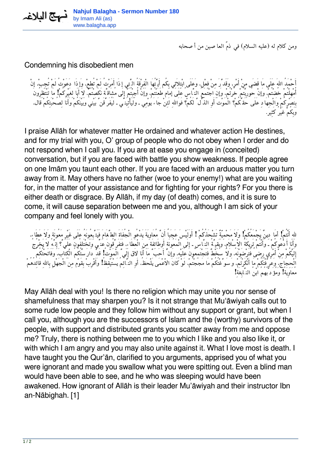*ومن كلام له (عليه السلام) في ذمّ العاصين من أصحابه*

## Condemning his disobedient men

*أَحْمَدُ االلهَ عَلَى مَا قَضَى مِنْ أَمْر، وَقَدَّرَ مِنْ فِعْل، وَعَلَى ابْتِلاَئِي بِكُم أَيَّتُهَا الْفِرْقَةُ الَّتِي إذَا أَمَرْتُ لَمْ تُطِع،ْ وَإذَا دَعَوْتُ لَمْ تُجِب،ْ إنْ أُمْهِلْتُمْ خُضْتُم،ْ وَإنْ حُورِبْتُمْ خُرْتُم،ْ وَإنِ اجْتَمَعَ النَّاسُ عَلَى إمَام طَعَنْتُم،ْ وَإنْ أُجِبْتُمْ إلَى مُشَاقَّة نَكَصْتُم.ْ لاَ أَبَا لِغَيْرِكُمْ! مَا تَنْتَظِرُونَ بِنَصْرِكُمْ وَالْجِهَادِ عَلَى حَقِّكُمْ؟ الْمَوْتَ أَوِ الذُّلَّ لَكُمْ؟ فَوَااللهِ لَئِنْ جَاءَ يَوْمِي ـ وَلَيَأْتِيَنِّي ـ لَيُفَرِّقَنَّ بَيْني وَبَيْنَكُمْ وَأَنا لِصُحْبَتِكُمْ قَال، وَبِكُمْ غَيْرُ كَثِير.*

I praise Allāh for whatever matter He ordained and whatever action He destines, and for my trial with you, O' group of people who do not obey when I order and do not respond when I call you. If you are at ease you engage in (conceited) conversation, but if you are faced with battle you show weakness. If people agree on one Imām you taunt each other. If you are faced with an arduous matter you turn away from it. May others have no father (woe to your enemy!) what are you waiting for, in the matter of your assistance and for fighting for your rights? For you there is either death or disgrace. By Allāh, if my day (of death) comes, and it is sure to come, it will cause separation between me and you, although I am sick of your company and feel lonely with you.

*الله أَنْتُمْ! أمَا دِينٌ يَجْمَعُكُمْ! وَلاَ مَحْمِيّةٌ تَشْحَذُكُمْ ! أَوَلَيْسَ عَجَباً أَنَّ مُعَاوِيَةَ يَدْعُو الْجُفَاةَ الطَّغَامَ فَيَتَّبِعُونَهُ عَلَى غَيْرِ مَعُونَة وَلاَ عَطَاء، وَأَنَا أَدْعُوكُمْ ـ وَأَنْتُمْ تَرِيكَةُ الاْسْلاَم،ِ وَبَقِيَّةُ النَّاسِ ـ إلَى الْمَعُونَةِ أَوطَائِفَة مِنَ الْعَطَاء،ِ فَتَفَرَّقُونَ عَنِّي وَتَخْتَلِفُونَ عَلَيَّ؟ إِنَّهُ لاَ يَخْرُجُ إِلَيْكُمْ مِنْ أَمْرِي رِضىً فَتَرْضَوْنَه،ُ وَلاَ سُخْطٌ فَتَجْتَمِعُونَ عَلَيْه،ِ وَإنَّ أَحَبَّ مَا أَنَا لاَق إِلَيَّ الْمَوْتُ! قَدْ دَارَسْتُكُمُ الْكِتَاب،َ وَفَاتَحْتُكُمُ* الْحَجَاج، وِعَرَفْتِكُمْ مَا أَنْكَرْتُمْ، وَ سَوْغْتُكُمْ مَا مَجَجْتُمْ، لَوْ كَانَ الْأَعْمَى يَلْحَظُ، أَو النَّائم يَسْتَيْقَظُ! وأَقْرَبْ بَقَوْم من الْجَهْلِ بِاللهِ قَائِدُهُمْ *مُعَاوِيَةُ! وَمُؤَدِّبُهُمُ ابْنُ النَّابِغَةِ!*

May Allāh deal with you! Is there no religion which may unite you nor sense of shamefulness that may sharpen you? Is it not strange that Mu'āwiyah calls out to some rude low people and they follow him without any support or grant, but when I call you, although you are the successors of Islam and the (worthy) survivors of the people, with support and distributed grants you scatter away from me and oppose me? Truly, there is nothing between me to you which I like and you also like it, or with which I am angry and you may also unite against it. What I love most is death. I have taught you the Qur'ān, clarified to you arguments, apprised you of what you were ignorant and made you swallow what you were spitting out. Even a blind man would have been able to see, and he who was sleeping would have been awakened. How ignorant of Allāh is their leader Mu'āwiyah and their instructor Ibn an-Nābighah. [1]